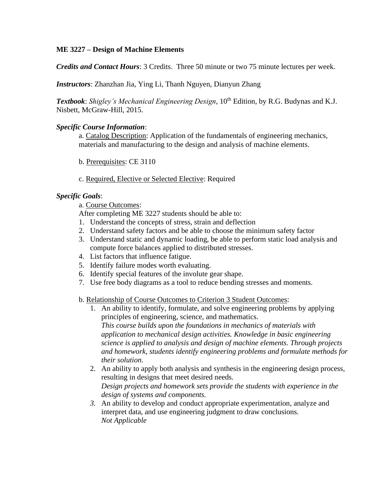## **ME 3227 – Design of Machine Elements**

*Credits and Contact Hours*: 3 Credits. Three 50 minute or two 75 minute lectures per week.

*Instructors*: Zhanzhan Jia, Ying Li, Thanh Nguyen, Dianyun Zhang

**Textbook**: *Shigley's Mechanical Engineering Design*, 10<sup>th</sup> Edition, by R.G. Budynas and K.J. Nisbett, McGraw-Hill, 2015.

## *Specific Course Information*:

a. Catalog Description: Application of the fundamentals of engineering mechanics, materials and manufacturing to the design and analysis of machine elements.

- b. Prerequisites: CE 3110
- c. Required, Elective or Selected Elective: Required

## *Specific Goals*:

a. Course Outcomes:

After completing ME 3227 students should be able to:

- 1. Understand the concepts of stress, strain and deflection
- 2. Understand safety factors and be able to choose the minimum safety factor
- 3. Understand static and dynamic loading, be able to perform static load analysis and compute force balances applied to distributed stresses.
- 4. List factors that influence fatigue.
- 5. Identify failure modes worth evaluating.
- 6. Identify special features of the involute gear shape.
- 7. Use free body diagrams as a tool to reduce bending stresses and moments.

b. Relationship of Course Outcomes to Criterion 3 Student Outcomes:

- 1. An ability to identify, formulate, and solve engineering problems by applying principles of engineering, science, and mathematics. *This course builds upon the foundations in mechanics of materials with application to mechanical design activities. Knowledge in basic engineering science is applied to analysis and design of machine elements. Through projects and homework, students identify engineering problems and formulate methods for their solution.*
- 2. An ability to apply both analysis and synthesis in the engineering design process, resulting in designs that meet desired needs. *Design projects and homework sets provide the students with experience in the design of systems and components.*
- *3.* An ability to develop and conduct appropriate experimentation, analyze and interpret data, and use engineering judgment to draw conclusions. *Not Applicable*